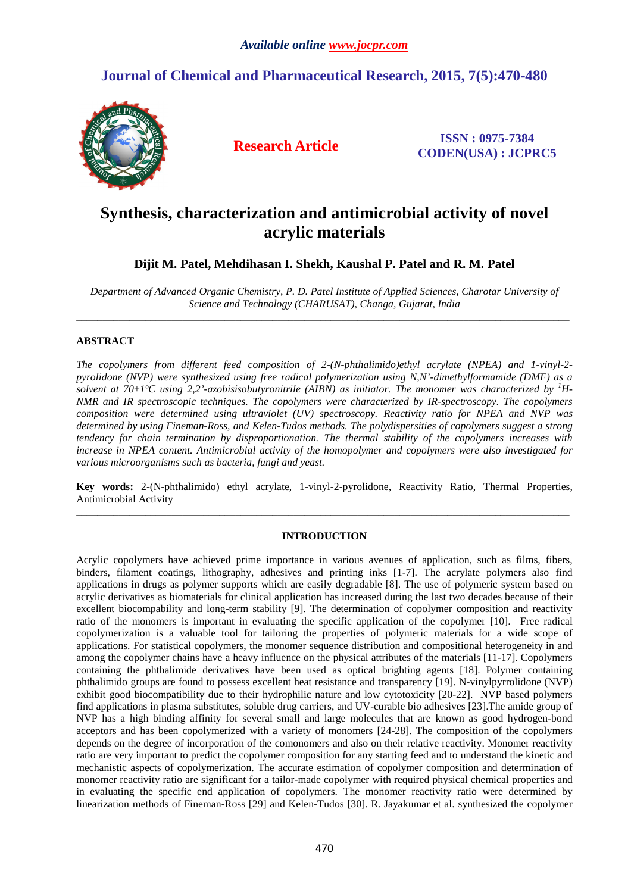## **Journal of Chemical and Pharmaceutical Research, 2015, 7(5):470-480**



**Research Article ISSN : 0975-7384 CODEN(USA) : JCPRC5**

# **Synthesis, characterization and antimicrobial activity of novel acrylic materials**

## **Dijit M. Patel, Mehdihasan I. Shekh, Kaushal P. Patel and R. M. Patel**

*Department of Advanced Organic Chemistry, P. D. Patel Institute of Applied Sciences, Charotar University of Science and Technology (CHARUSAT), Changa, Gujarat, India*  \_\_\_\_\_\_\_\_\_\_\_\_\_\_\_\_\_\_\_\_\_\_\_\_\_\_\_\_\_\_\_\_\_\_\_\_\_\_\_\_\_\_\_\_\_\_\_\_\_\_\_\_\_\_\_\_\_\_\_\_\_\_\_\_\_\_\_\_\_\_\_\_\_\_\_\_\_\_\_\_\_\_\_\_\_\_\_\_\_\_\_\_\_

### **ABSTRACT**

*The copolymers from different feed composition of 2-(N-phthalimido)ethyl acrylate (NPEA) and 1-vinyl-2 pyrolidone (NVP) were synthesized using free radical polymerization using N,N'-dimethylformamide (DMF) as a solvent at 70* $\pm$ 1<sup>o</sup>C using 2,2'-azobisisobutyronitrile (AIBN) as initiator. The monomer was characterized by <sup>1</sup>H-*NMR and IR spectroscopic techniques. The copolymers were characterized by IR-spectroscopy. The copolymers composition were determined using ultraviolet (UV) spectroscopy. Reactivity ratio for NPEA and NVP was determined by using Fineman-Ross, and Kelen-Tudos methods. The polydispersities of copolymers suggest a strong tendency for chain termination by disproportionation. The thermal stability of the copolymers increases with increase in NPEA content. Antimicrobial activity of the homopolymer and copolymers were also investigated for various microorganisms such as bacteria, fungi and yeast.* 

**Key words:** 2-(N-phthalimido) ethyl acrylate, 1-vinyl-2-pyrolidone, Reactivity Ratio, Thermal Properties, Antimicrobial Activity \_\_\_\_\_\_\_\_\_\_\_\_\_\_\_\_\_\_\_\_\_\_\_\_\_\_\_\_\_\_\_\_\_\_\_\_\_\_\_\_\_\_\_\_\_\_\_\_\_\_\_\_\_\_\_\_\_\_\_\_\_\_\_\_\_\_\_\_\_\_\_\_\_\_\_\_\_\_\_\_\_\_\_\_\_\_\_\_\_\_\_\_\_

### **INTRODUCTION**

Acrylic copolymers have achieved prime importance in various avenues of application, such as films, fibers, binders, filament coatings, lithography, adhesives and printing inks [1-7]. The acrylate polymers also find applications in drugs as polymer supports which are easily degradable [8]. The use of polymeric system based on acrylic derivatives as biomaterials for clinical application has increased during the last two decades because of their excellent biocompability and long-term stability [9]. The determination of copolymer composition and reactivity ratio of the monomers is important in evaluating the specific application of the copolymer [10]. Free radical copolymerization is a valuable tool for tailoring the properties of polymeric materials for a wide scope of applications. For statistical copolymers, the monomer sequence distribution and compositional heterogeneity in and among the copolymer chains have a heavy influence on the physical attributes of the materials [11-17]. Copolymers containing the phthalimide derivatives have been used as optical brighting agents [18]. Polymer containing phthalimido groups are found to possess excellent heat resistance and transparency [19]. N-vinylpyrrolidone (NVP) exhibit good biocompatibility due to their hydrophilic nature and low cytotoxicity [20-22]. NVP based polymers find applications in plasma substitutes, soluble drug carriers, and UV-curable bio adhesives [23].The amide group of NVP has a high binding affinity for several small and large molecules that are known as good hydrogen-bond acceptors and has been copolymerized with a variety of monomers [24-28]. The composition of the copolymers depends on the degree of incorporation of the comonomers and also on their relative reactivity. Monomer reactivity ratio are very important to predict the copolymer composition for any starting feed and to understand the kinetic and mechanistic aspects of copolymerization. The accurate estimation of copolymer composition and determination of monomer reactivity ratio are significant for a tailor-made copolymer with required physical chemical properties and in evaluating the specific end application of copolymers. The monomer reactivity ratio were determined by linearization methods of Fineman-Ross [29] and Kelen-Tudos [30]. R. Jayakumar et al. synthesized the copolymer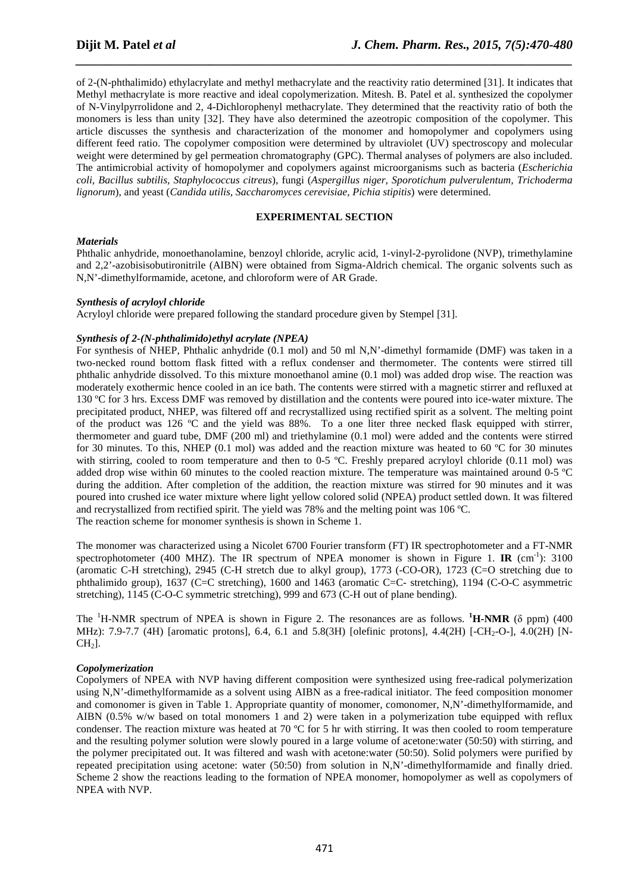of 2-(N-phthalimido) ethylacrylate and methyl methacrylate and the reactivity ratio determined [31]. It indicates that Methyl methacrylate is more reactive and ideal copolymerization. Mitesh. B. Patel et al. synthesized the copolymer of N-Vinylpyrrolidone and 2, 4-Dichlorophenyl methacrylate. They determined that the reactivity ratio of both the monomers is less than unity [32]. They have also determined the azeotropic composition of the copolymer. This article discusses the synthesis and characterization of the monomer and homopolymer and copolymers using different feed ratio. The copolymer composition were determined by ultraviolet (UV) spectroscopy and molecular weight were determined by gel permeation chromatography (GPC). Thermal analyses of polymers are also included. The antimicrobial activity of homopolymer and copolymers against microorganisms such as bacteria (*Escherichia coli, Bacillus subtilis, Staphylococcus citreus*), fungi (*Aspergillus niger, Sporotichum pulverulentum, Trichoderma lignorum*), and yeast (*Candida utilis, Saccharomyces cerevisiae, Pichia stipitis*) were determined.

*\_\_\_\_\_\_\_\_\_\_\_\_\_\_\_\_\_\_\_\_\_\_\_\_\_\_\_\_\_\_\_\_\_\_\_\_\_\_\_\_\_\_\_\_\_\_\_\_\_\_\_\_\_\_\_\_\_\_\_\_\_\_\_\_\_\_\_\_\_\_\_\_\_\_\_\_\_\_*

### **EXPERIMENTAL SECTION**

### *Materials*

Phthalic anhydride, monoethanolamine, benzoyl chloride, acrylic acid, 1-vinyl-2-pyrolidone (NVP), trimethylamine and 2,2'-azobisisobutironitrile (AIBN) were obtained from Sigma-Aldrich chemical. The organic solvents such as N,N'-dimethylformamide, acetone, and chloroform were of AR Grade.

### *Synthesis of acryloyl chloride*

Acryloyl chloride were prepared following the standard procedure given by Stempel [31].

### *Synthesis of 2-(N-phthalimido)ethyl acrylate (NPEA)*

For synthesis of NHEP, Phthalic anhydride (0.1 mol) and 50 ml N,N'-dimethyl formamide (DMF) was taken in a two-necked round bottom flask fitted with a reflux condenser and thermometer. The contents were stirred till phthalic anhydride dissolved. To this mixture monoethanol amine (0.1 mol) was added drop wise. The reaction was moderately exothermic hence cooled in an ice bath. The contents were stirred with a magnetic stirrer and refluxed at 130 ºC for 3 hrs. Excess DMF was removed by distillation and the contents were poured into ice-water mixture. The precipitated product, NHEP, was filtered off and recrystallized using rectified spirit as a solvent. The melting point of the product was 126 ºC and the yield was 88%. To a one liter three necked flask equipped with stirrer, thermometer and guard tube, DMF (200 ml) and triethylamine (0.1 mol) were added and the contents were stirred for 30 minutes. To this, NHEP (0.1 mol) was added and the reaction mixture was heated to 60 ºC for 30 minutes with stirring, cooled to room temperature and then to 0-5 °C. Freshly prepared acryloyl chloride (0.11 mol) was added drop wise within 60 minutes to the cooled reaction mixture. The temperature was maintained around 0-5 ºC during the addition. After completion of the addition, the reaction mixture was stirred for 90 minutes and it was poured into crushed ice water mixture where light yellow colored solid (NPEA) product settled down. It was filtered and recrystallized from rectified spirit. The yield was 78% and the melting point was 106 ºC. The reaction scheme for monomer synthesis is shown in Scheme 1.

The monomer was characterized using a Nicolet 6700 Fourier transform (FT) IR spectrophotometer and a FT-NMR spectrophotometer (400 MHZ). The IR spectrum of NPEA monomer is shown in Figure 1. **IR** (cm<sup>-1</sup>): 3100 (aromatic C-H stretching), 2945 (C-H stretch due to alkyl group), 1773 (-CO-OR), 1723 (C=O stretching due to phthalimido group), 1637 (C=C stretching), 1600 and 1463 (aromatic C=C- stretching), 1194 (C-O-C asymmetric stretching), 1145 (C-O-C symmetric stretching), 999 and 673 (C-H out of plane bending).

The  ${}^{1}H\text{-NMR}$  spectrum of NPEA is shown in Figure 2. The resonances are as follows.  ${}^{1}H\text{-NMR}$  ( $\delta$  ppm) (400 MHz): 7.9-7.7 (4H) [aromatic protons], 6.4, 6.1 and 5.8(3H) [olefinic protons], 4.4(2H) [-CH<sub>2</sub>-O-], 4.0(2H) [N- $CH<sub>2</sub>$ ].

### *Copolymerization*

Copolymers of NPEA with NVP having different composition were synthesized using free-radical polymerization using N,N'-dimethylformamide as a solvent using AIBN as a free-radical initiator. The feed composition monomer and comonomer is given in Table 1. Appropriate quantity of monomer, comonomer, N,N'-dimethylformamide, and AIBN (0.5% w/w based on total monomers 1 and 2) were taken in a polymerization tube equipped with reflux condenser. The reaction mixture was heated at 70  $^{\circ}$ C for 5 hr with stirring. It was then cooled to room temperature and the resulting polymer solution were slowly poured in a large volume of acetone:water (50:50) with stirring, and the polymer precipitated out. It was filtered and wash with acetone:water (50:50). Solid polymers were purified by repeated precipitation using acetone: water (50:50) from solution in N,N'-dimethylformamide and finally dried. Scheme 2 show the reactions leading to the formation of NPEA monomer, homopolymer as well as copolymers of NPEA with NVP.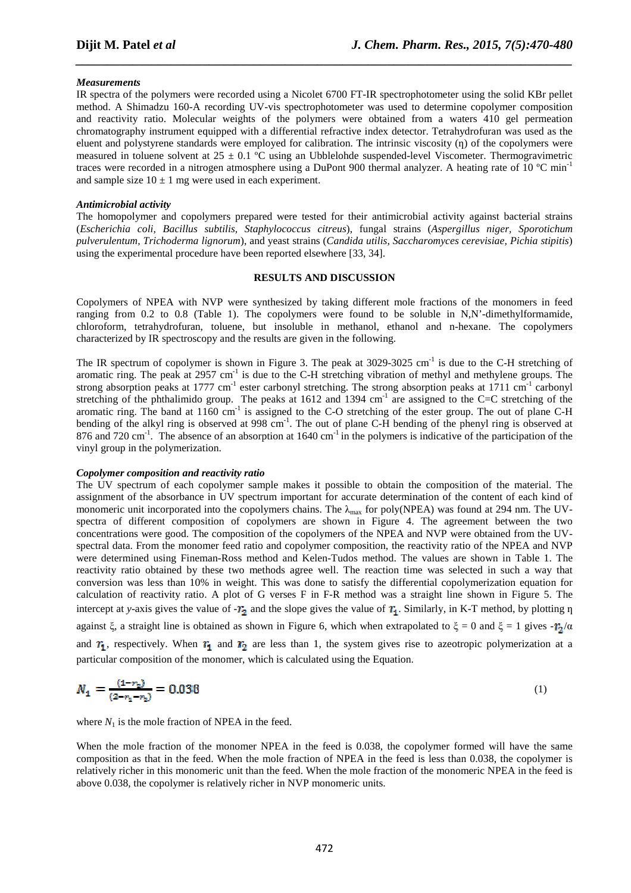### *Measurements*

IR spectra of the polymers were recorded using a Nicolet 6700 FT-IR spectrophotometer using the solid KBr pellet method. A Shimadzu 160-A recording UV-vis spectrophotometer was used to determine copolymer composition and reactivity ratio. Molecular weights of the polymers were obtained from a waters 410 gel permeation chromatography instrument equipped with a differential refractive index detector. Tetrahydrofuran was used as the eluent and polystyrene standards were employed for calibration. The intrinsic viscosity (n) of the copolymers were measured in toluene solvent at  $25 \pm 0.1$  °C using an Ubblelohde suspended-level Viscometer. Thermogravimetric traces were recorded in a nitrogen atmosphere using a DuPont 900 thermal analyzer. A heating rate of 10 °C min<sup>-1</sup> and sample size  $10 \pm 1$  mg were used in each experiment.

*\_\_\_\_\_\_\_\_\_\_\_\_\_\_\_\_\_\_\_\_\_\_\_\_\_\_\_\_\_\_\_\_\_\_\_\_\_\_\_\_\_\_\_\_\_\_\_\_\_\_\_\_\_\_\_\_\_\_\_\_\_\_\_\_\_\_\_\_\_\_\_\_\_\_\_\_\_\_*

### *Antimicrobial activity*

The homopolymer and copolymers prepared were tested for their antimicrobial activity against bacterial strains (*Escherichia coli, Bacillus subtilis, Staphylococcus citreus*), fungal strains (*Aspergillus niger, Sporotichum pulverulentum, Trichoderma lignorum*), and yeast strains (*Candida utilis, Saccharomyces cerevisiae, Pichia stipitis*) using the experimental procedure have been reported elsewhere [33, 34].

### **RESULTS AND DISCUSSION**

Copolymers of NPEA with NVP were synthesized by taking different mole fractions of the monomers in feed ranging from 0.2 to 0.8 (Table 1). The copolymers were found to be soluble in N,N'-dimethylformamide, chloroform, tetrahydrofuran, toluene, but insoluble in methanol, ethanol and n-hexane. The copolymers characterized by IR spectroscopy and the results are given in the following.

The IR spectrum of copolymer is shown in Figure 3. The peak at  $3029-3025$  cm<sup>-1</sup> is due to the C-H stretching of aromatic ring. The peak at 2957 cm<sup>-1</sup> is due to the C-H stretching vibration of methyl and methylene groups. The strong absorption peaks at 1777 cm<sup>-1</sup> ester carbonyl stretching. The strong absorption peaks at 1711 cm<sup>-1</sup> carbonyl stretching of the phthalimido group. The peaks at 1612 and 1394 cm<sup>-1</sup> are assigned to the C=C stretching of the aromatic ring. The band at  $1160 \text{ cm}^{-1}$  is assigned to the C-O stretching of the ester group. The out of plane C-H bending of the alkyl ring is observed at 998 cm<sup>-1</sup>. The out of plane C-H bending of the phenyl ring is observed at 876 and 720 cm<sup>-1</sup>. The absence of an absorption at 1640 cm<sup>-1</sup> in the polymers is indicative of the participation of the vinyl group in the polymerization.

### *Copolymer composition and reactivity ratio*

The UV spectrum of each copolymer sample makes it possible to obtain the composition of the material. The assignment of the absorbance in UV spectrum important for accurate determination of the content of each kind of monomeric unit incorporated into the copolymers chains. The  $\lambda_{\text{max}}$  for poly(NPEA) was found at 294 nm. The UVspectra of different composition of copolymers are shown in Figure 4. The agreement between the two concentrations were good. The composition of the copolymers of the NPEA and NVP were obtained from the UVspectral data. From the monomer feed ratio and copolymer composition, the reactivity ratio of the NPEA and NVP were determined using Fineman-Ross method and Kelen-Tudos method. The values are shown in Table 1. The reactivity ratio obtained by these two methods agree well. The reaction time was selected in such a way that conversion was less than 10% in weight. This was done to satisfy the differential copolymerization equation for calculation of reactivity ratio. A plot of G verses F in F-R method was a straight line shown in Figure 5. The intercept at *y*-axis gives the value of  $-T_2$  and the slope gives the value of  $T_1$ . Similarly, in K-T method, by plotting  $\eta$ against ξ, a straight line is obtained as shown in Figure 6, which when extrapolated to  $\xi = 0$  and  $\xi = 1$  gives  $-r_2/\alpha$ and  $r_1$ , respectively. When  $r_1$  and  $r_2$  are less than 1, the system gives rise to azeotropic polymerization at a particular composition of the monomer, which is calculated using the Equation.

$$
N_1 = \frac{(1 - r_2)}{(2 - r_1 - r_2)} = 0.038
$$
\n<sup>(1)</sup>

where  $N_1$  is the mole fraction of NPEA in the feed.

When the mole fraction of the monomer NPEA in the feed is 0.038, the copolymer formed will have the same composition as that in the feed. When the mole fraction of NPEA in the feed is less than 0.038, the copolymer is relatively richer in this monomeric unit than the feed. When the mole fraction of the monomeric NPEA in the feed is above 0.038, the copolymer is relatively richer in NVP monomeric units.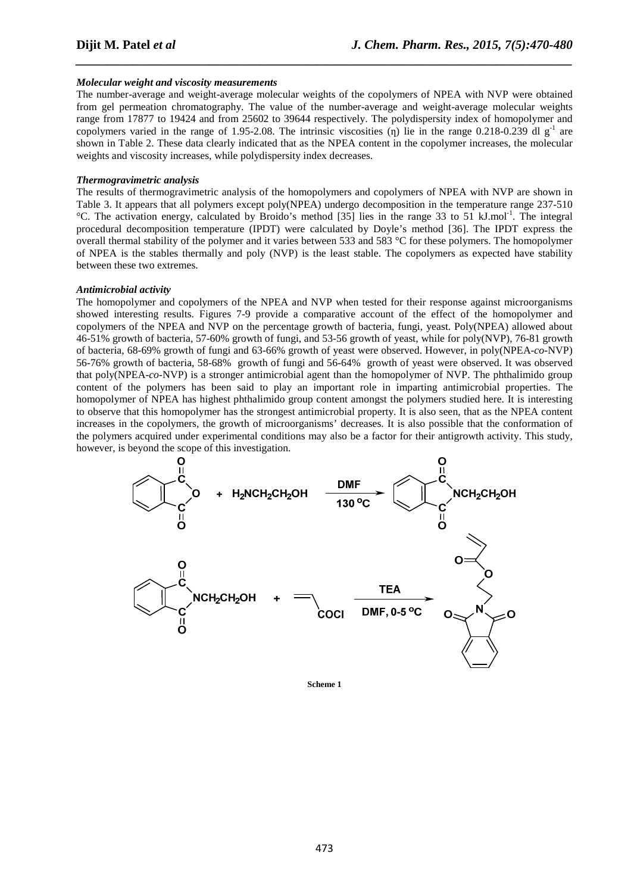### *Molecular weight and viscosity measurements*

The number-average and weight-average molecular weights of the copolymers of NPEA with NVP were obtained from gel permeation chromatography. The value of the number-average and weight-average molecular weights range from 17877 to 19424 and from 25602 to 39644 respectively. The polydispersity index of homopolymer and copolymers varied in the range of 1.95-2.08. The intrinsic viscosities ( $\eta$ ) lie in the range 0.218-0.239 dl  $g^{-1}$  are shown in Table 2. These data clearly indicated that as the NPEA content in the copolymer increases, the molecular weights and viscosity increases, while polydispersity index decreases.

*\_\_\_\_\_\_\_\_\_\_\_\_\_\_\_\_\_\_\_\_\_\_\_\_\_\_\_\_\_\_\_\_\_\_\_\_\_\_\_\_\_\_\_\_\_\_\_\_\_\_\_\_\_\_\_\_\_\_\_\_\_\_\_\_\_\_\_\_\_\_\_\_\_\_\_\_\_\_*

### *Thermogravimetric analysis*

The results of thermogravimetric analysis of the homopolymers and copolymers of NPEA with NVP are shown in Table 3. It appears that all polymers except poly(NPEA) undergo decomposition in the temperature range 237-510 °C. The activation energy, calculated by Broido's method [35] lies in the range 33 to 51 kJ.mol<sup>-1</sup>. The integral procedural decomposition temperature (IPDT) were calculated by Doyle's method [36]. The IPDT express the overall thermal stability of the polymer and it varies between 533 and 583 °C for these polymers. The homopolymer of NPEA is the stables thermally and poly (NVP) is the least stable. The copolymers as expected have stability between these two extremes.

### *Antimicrobial activity*

The homopolymer and copolymers of the NPEA and NVP when tested for their response against microorganisms showed interesting results. Figures 7-9 provide a comparative account of the effect of the homopolymer and copolymers of the NPEA and NVP on the percentage growth of bacteria, fungi, yeast. Poly(NPEA) allowed about 46-51% growth of bacteria, 57-60% growth of fungi, and 53-56 growth of yeast, while for poly(NVP), 76-81 growth of bacteria, 68-69% growth of fungi and 63-66% growth of yeast were observed. However, in poly(NPEA-*co-*NVP) 56-76% growth of bacteria, 58-68% growth of fungi and 56-64% growth of yeast were observed. It was observed that poly(NPEA-*co-*NVP) is a stronger antimicrobial agent than the homopolymer of NVP. The phthalimido group content of the polymers has been said to play an important role in imparting antimicrobial properties. The homopolymer of NPEA has highest phthalimido group content amongst the polymers studied here. It is interesting to observe that this homopolymer has the strongest antimicrobial property. It is also seen, that as the NPEA content increases in the copolymers, the growth of microorganisms' decreases. It is also possible that the conformation of the polymers acquired under experimental conditions may also be a factor for their antigrowth activity. This study, however, is beyond the scope of this investigation.



**Scheme 1**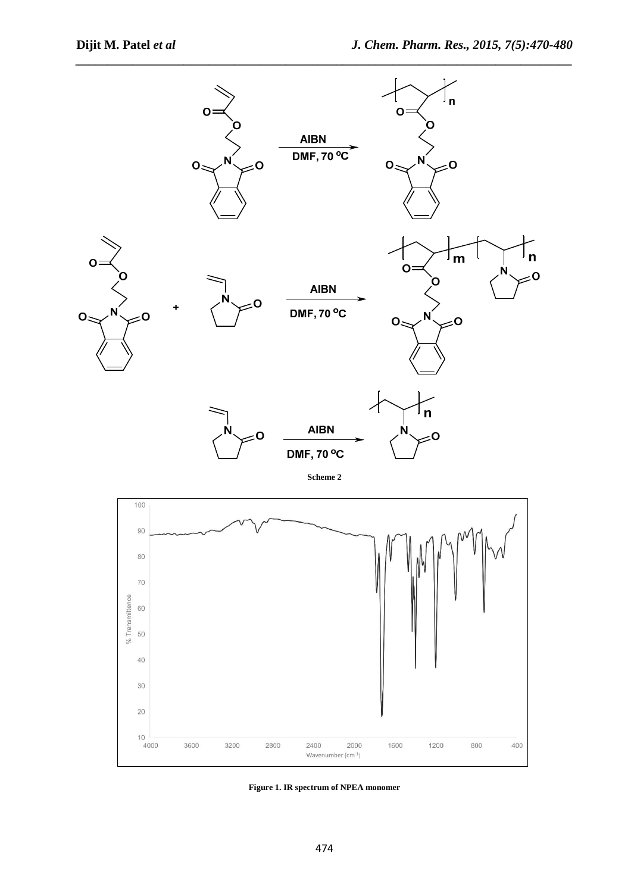

**Figure 1. IR spectrum of NPEA monomer**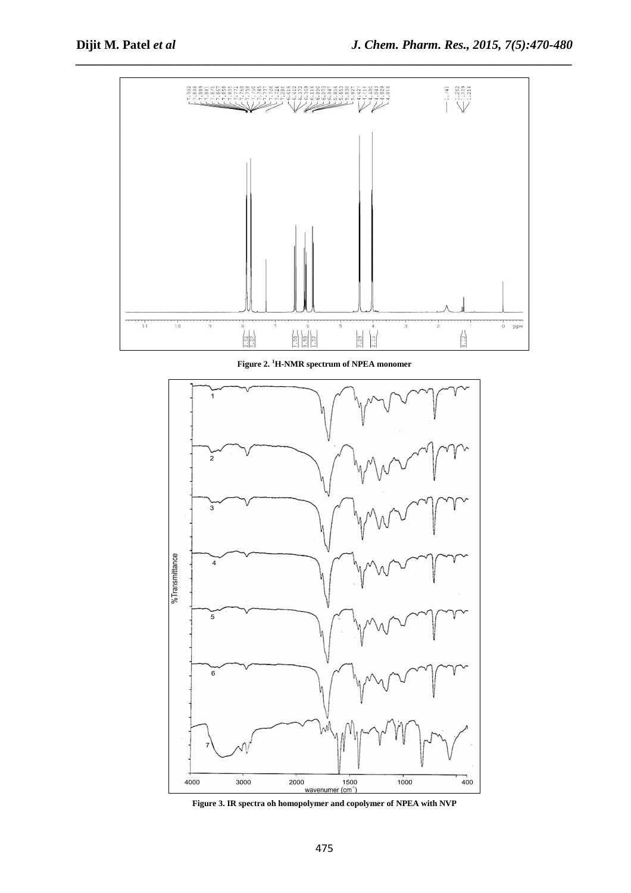

*\_\_\_\_\_\_\_\_\_\_\_\_\_\_\_\_\_\_\_\_\_\_\_\_\_\_\_\_\_\_\_\_\_\_\_\_\_\_\_\_\_\_\_\_\_\_\_\_\_\_\_\_\_\_\_\_\_\_\_\_\_\_\_\_\_\_\_\_\_\_\_\_\_\_\_\_\_\_*

**Figure 2. <sup>1</sup>H-NMR spectrum of NPEA monomer** 



**Figure 3. IR spectra oh homopolymer and copolymer of NPEA with NVP**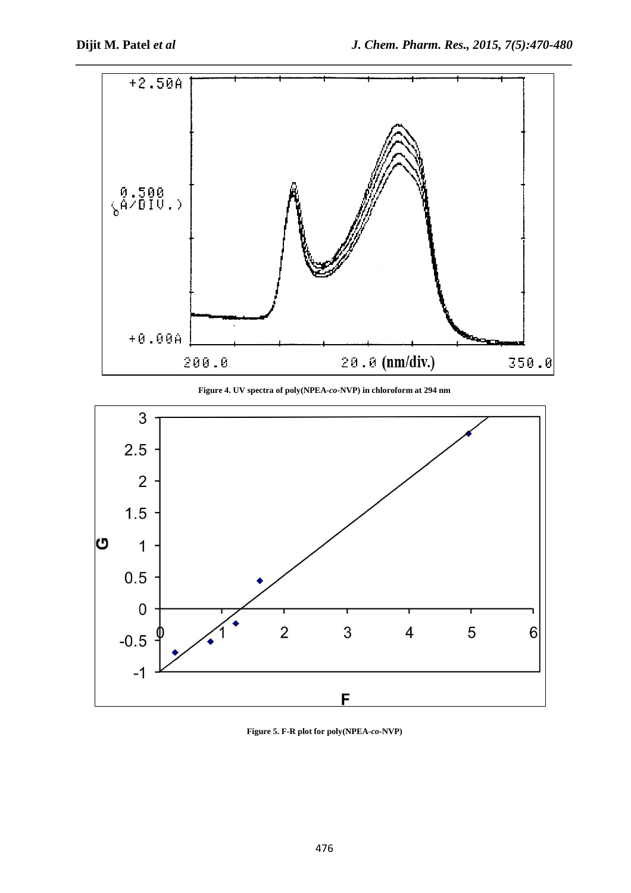

**Figure 4. UV spectra of poly(NPEA***-co-***NVP) in chloroform at 294 nm** 



**Figure 5. F-R plot for poly(NPEA***-co-***NVP)**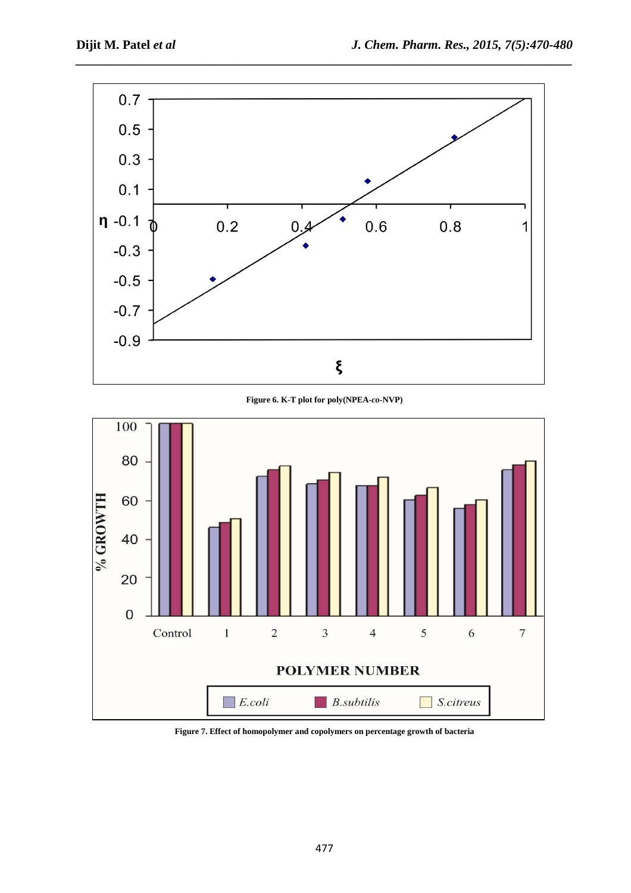

*\_\_\_\_\_\_\_\_\_\_\_\_\_\_\_\_\_\_\_\_\_\_\_\_\_\_\_\_\_\_\_\_\_\_\_\_\_\_\_\_\_\_\_\_\_\_\_\_\_\_\_\_\_\_\_\_\_\_\_\_\_\_\_\_\_\_\_\_\_\_\_\_\_\_\_\_\_\_*

**Figure 6. K-T plot for poly(NPEA***-co-***NVP)** 



**Figure 7. Effect of homopolymer and copolymers on percentage growth of bacteria**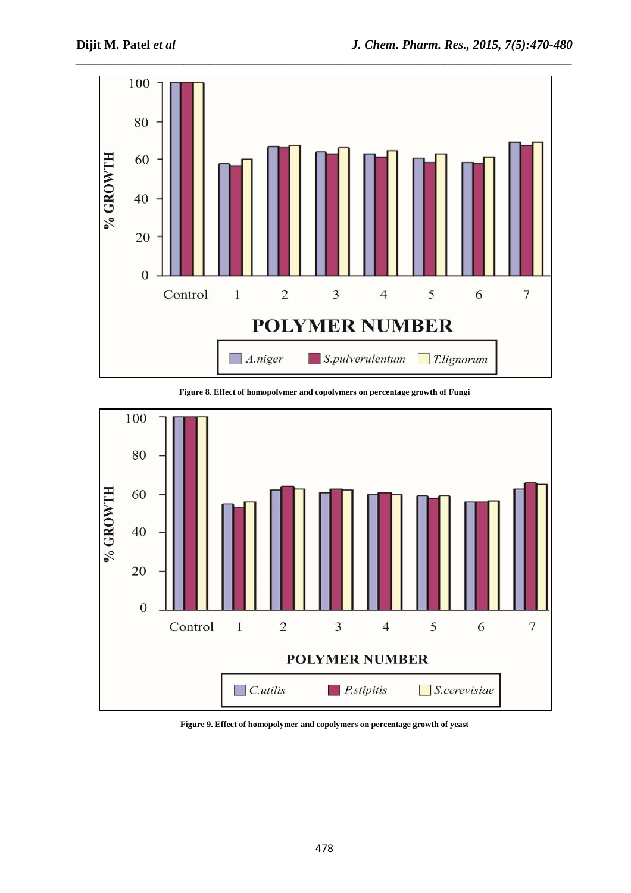

**Figure 8. Effect of homopolymer and copolymers on percentage growth of Fungi** 



**Figure 9. Effect of homopolymer and copolymers on percentage growth of yeast**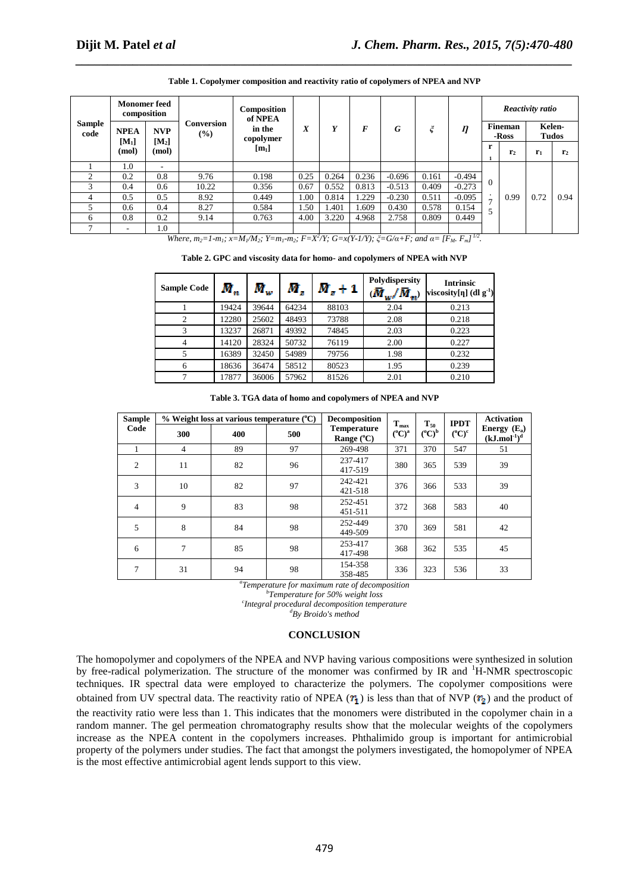| <b>Sample</b><br>code | <b>Monomer</b> feed<br>composition |                  |                   | Composition | of NPEA<br>in the<br>X | Y     | F     | G        |       | $\eta$   | Reactivity ratio |                |                 |                |
|-----------------------|------------------------------------|------------------|-------------------|-------------|------------------------|-------|-------|----------|-------|----------|------------------|----------------|-----------------|----------------|
|                       | <b>NVP</b><br><b>NPEA</b>          |                  | Conversion<br>(%) | copolymer   |                        |       |       |          |       |          | Fineman<br>-Ross |                | Kelen-<br>Tudos |                |
|                       | $[M_1]$<br>(mol)                   | $[M_2]$<br>(mol) |                   | $[m_1]$     |                        |       |       |          |       |          | r                | r <sub>2</sub> | $r_1$           | r <sub>2</sub> |
|                       | 1.0                                | -                |                   |             |                        |       |       |          |       |          |                  |                |                 |                |
| 2                     | 0.2                                | 0.8              | 9.76              | 0.198       | 0.25                   | 0.264 | 0.236 | $-0.696$ | 0.161 | $-0.494$ |                  |                |                 |                |
| 3                     | 0.4                                | 0.6              | 10.22             | 0.356       | 0.67                   | 0.552 | 0.813 | $-0.513$ | 0.409 | $-0.273$ |                  |                |                 |                |
| 4                     | 0.5                                | 0.5              | 8.92              | 0.449       | 1.00                   | 0.814 | 1.229 | $-0.230$ | 0.511 | $-0.095$ | $\mathbf{r}$     | 0.99           | 0.72            | 0.94           |
|                       | 0.6                                | 0.4              | 8.27              | 0.584       | 1.50                   | 1.401 | 1.609 | 0.430    | 0.578 | 0.154    |                  |                |                 |                |
| 6                     | 0.8                                | 0.2              | 9.14              | 0.763       | 4.00                   | 3.220 | 4.968 | 2.758    | 0.809 | 0.449    |                  |                |                 |                |
|                       | ۰                                  | 1.0              |                   |             |                        |       |       |          |       |          |                  |                |                 |                |

**Table 1. Copolymer composition and reactivity ratio of copolymers of NPEA and NVP** 

*\_\_\_\_\_\_\_\_\_\_\_\_\_\_\_\_\_\_\_\_\_\_\_\_\_\_\_\_\_\_\_\_\_\_\_\_\_\_\_\_\_\_\_\_\_\_\_\_\_\_\_\_\_\_\_\_\_\_\_\_\_\_\_\_\_\_\_\_\_\_\_\_\_\_\_\_\_\_*

Where,  $m_2=1-m_1$ ;  $x=M_1/M_2$ ;  $Y=m_1-m_2$ ;  $F=X^2/Y$ ;  $G=x(Y-1/Y)$ ;  $\xi=G/\alpha+F$ ; and  $\alpha=[F_M, F_m]^{1/2}$ .

**Table 2. GPC and viscosity data for homo- and copolymers of NPEA with NVP** 

| <b>Sample Code</b> | $\bar{M}^{}_{n}$ | $\boldsymbol{\overline{M}}_{w}$ | M.    | $\bar{M}_x+1$ | Polydispersity<br>$\overline{M}_{w}/\overline{M}_{w}$ | <b>Intrinsic</b><br>viscosity[ $\eta$ ] (dl g <sup>-1</sup> ) |
|--------------------|------------------|---------------------------------|-------|---------------|-------------------------------------------------------|---------------------------------------------------------------|
|                    | 19424            | 39644                           | 64234 | 88103         | 2.04                                                  | 0.213                                                         |
| $\overline{2}$     | 12280            | 25602                           | 48493 | 73788         | 2.08                                                  | 0.218                                                         |
| 3                  | 13237            | 26871                           | 49392 | 74845         | 2.03                                                  | 0.223                                                         |
| 4                  | 14120            | 28324                           | 50732 | 76119         | 2.00                                                  | 0.227                                                         |
| 5                  | 16389            | 32450                           | 54989 | 79756         | 1.98                                                  | 0.232                                                         |
| 6                  | 18636            | 36474                           | 58512 | 80523         | 1.95                                                  | 0.239                                                         |
|                    | 17877            | 36006                           | 57962 | 81526         | 2.01                                                  | 0.210                                                         |

**Table 3. TGA data of homo and copolymers of NPEA and NVP** 

| <b>Sample</b>  |                | $%$ Weight loss at various temperature $(^{\circ}C)$ |     | Decomposition                             | $T_{max}$         | $\mathbf{T}_{50}$       | <b>IPDT</b>           | <b>Activation</b>                                         |  |
|----------------|----------------|------------------------------------------------------|-----|-------------------------------------------|-------------------|-------------------------|-----------------------|-----------------------------------------------------------|--|
| Code           | 300            | 400                                                  | 500 | <b>Temperature</b><br>Range $(^{\circ}C)$ | $(^{\circ}C)^{a}$ | $({}^{\rm o}C)^{\rm b}$ | $(^{\circ}C)^{\circ}$ | Energy $(E_a)$<br>$(kJ$ .mol <sup>-1</sup> ) <sup>d</sup> |  |
|                | $\overline{4}$ | 89                                                   | 97  | 269-498                                   | 371               | 370                     | 547                   | 51                                                        |  |
| $\overline{2}$ | 11             | 82                                                   | 96  | 237-417<br>417-519                        | 380               | 365                     | 539                   | 39                                                        |  |
| 3              | 10             | 82                                                   | 97  | 242-421<br>421-518                        | 376               | 366                     | 533                   | 39                                                        |  |
| $\overline{4}$ | 9              | 83                                                   | 98  | 252-451<br>451-511                        | 372               | 368                     | 583                   | 40                                                        |  |
| 5              | 8              | 84                                                   | 98  | 252-449<br>449-509                        | 370               | 369                     | 581                   | 42                                                        |  |
| 6              | $\tau$         | 85                                                   | 98  | 253-417<br>417-498                        | 368               | 362                     | 535                   | 45                                                        |  |
| 7              | 31             | 94                                                   | 98  | 154-358<br>358-485                        | 336               | 323                     | 536                   | 33                                                        |  |

*a Temperature for maximum rate of decomposition* 

*b Temperature for 50% weight loss c Integral procedural decomposition temperature <sup>d</sup>By Broido's method* 

**CONCLUSION** 

The homopolymer and copolymers of the NPEA and NVP having various compositions were synthesized in solution by free-radical polymerization. The structure of the monomer was confirmed by IR and <sup>1</sup>H-NMR spectroscopic techniques. IR spectral data were employed to characterize the polymers. The copolymer compositions were obtained from UV spectral data. The reactivity ratio of NPEA ( $r_1$ ) is less than that of NVP ( $r_2$ ) and the product of the reactivity ratio were less than 1. This indicates that the monomers were distributed in the copolymer chain in a random manner. The gel permeation chromatography results show that the molecular weights of the copolymers increase as the NPEA content in the copolymers increases. Phthalimido group is important for antimicrobial property of the polymers under studies. The fact that amongst the polymers investigated, the homopolymer of NPEA is the most effective antimicrobial agent lends support to this view.